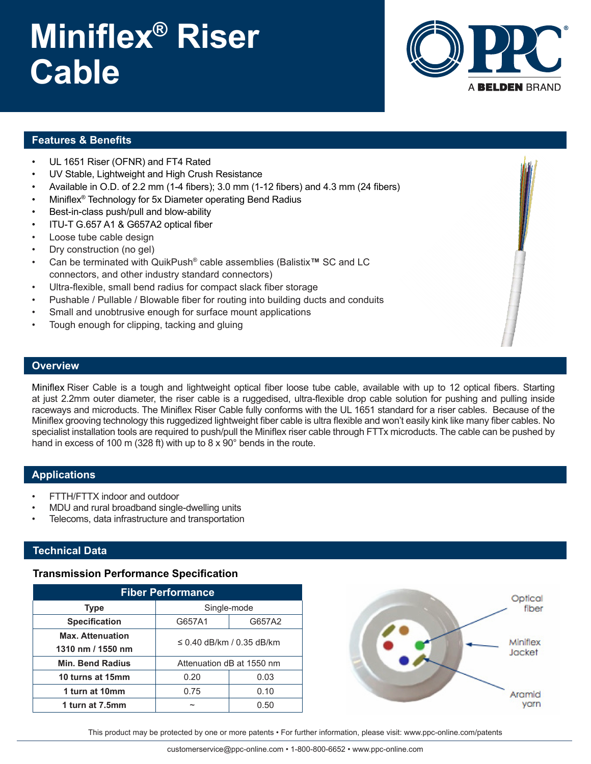# **Miniflex® Riser Cable**



### **Features & Benefits**

- UL 1651 Riser (OFNR) and FT4 Rated
- UV Stable, Lightweight and High Crush Resistance
- Available in O.D. of 2.2 mm (1-4 fibers); 3.0 mm (1-12 fibers) and 4.3 mm (24 fibers)
- Miniflex® Technology for 5x Diameter operating Bend Radius
- Best-in-class push/pull and blow-ability
- ITU-T G.657 A1 & G657A2 optical fiber
- Loose tube cable design
- Dry construction (no gel)
- Can be terminated with QuikPush® cable assemblies (Balistix**™** SC and LC connectors, and other industry standard connectors)
- Ultra-flexible, small bend radius for compact slack fiber storage
- Pushable / Pullable / Blowable fiber for routing into building ducts and conduits
- Small and unobtrusive enough for surface mount applications
- Tough enough for clipping, tacking and gluing

#### **Overview**

Miniflex Riser Cable is a tough and lightweight optical fiber loose tube cable, available with up to 12 optical fibers. Starting at just 2.2mm outer diameter, the riser cable is a ruggedised, ultra-flexible drop cable solution for pushing and pulling inside raceways and microducts. The Miniflex Riser Cable fully conforms with the UL 1651 standard for a riser cables. Because of the Miniflex grooving technology this ruggedized lightweight fiber cable is ultra flexible and won't easily kink like many fiber cables. No specialist installation tools are required to push/pull the Miniflex riser cable through FTTx microducts. The cable can be pushed by hand in excess of 100 m (328 ft) with up to 8 x 90° bends in the route.

#### **Applications**

- FTTH/FTTX indoor and outdoor
- MDU and rural broadband single-dwelling units
- Telecoms, data infrastructure and transportation

#### **Technical Data**

#### **Transmission Performance Specification**

| <b>Fiber Performance</b> |                           |        |  |  |
|--------------------------|---------------------------|--------|--|--|
| <b>Type</b>              | Single-mode               |        |  |  |
| <b>Specification</b>     | G657A1                    | G657A2 |  |  |
| <b>Max. Attenuation</b>  | ≤ 0.40 dB/km / 0.35 dB/km |        |  |  |
| 1310 nm / 1550 nm        |                           |        |  |  |
| <b>Min. Bend Radius</b>  | Attenuation dB at 1550 nm |        |  |  |
| 10 turns at 15mm         | 0.20                      | 0.03   |  |  |
| 1 turn at 10mm           | 0.75                      | 0.10   |  |  |
| 1 turn at 7.5mm          |                           | 0.50   |  |  |



This product may be protected by one or more patents • For further information, please visit: www.ppc-online.com/patents